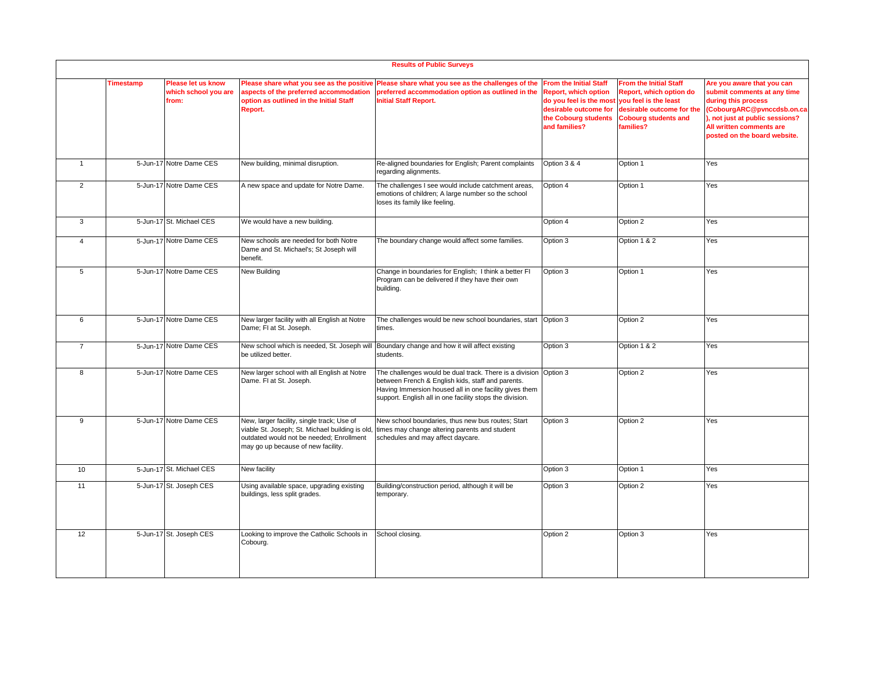|                | <b>Results of Public Surveys</b> |                                                     |                                                                                                                                                                                 |                                                                                                                                                                                                                                             |                                                                                                                                                           |                                                                                                                                                            |                                                                                                                                                                                                              |  |
|----------------|----------------------------------|-----------------------------------------------------|---------------------------------------------------------------------------------------------------------------------------------------------------------------------------------|---------------------------------------------------------------------------------------------------------------------------------------------------------------------------------------------------------------------------------------------|-----------------------------------------------------------------------------------------------------------------------------------------------------------|------------------------------------------------------------------------------------------------------------------------------------------------------------|--------------------------------------------------------------------------------------------------------------------------------------------------------------------------------------------------------------|--|
|                | Timestamp                        | Please let us know<br>which school you are<br>from: | aspects of the preferred accommodation<br>option as outlined in the Initial Staff<br>Report.                                                                                    | Please share what you see as the positive Please share what you see as the challenges of the<br>preferred accommodation option as outlined in the<br><b>Initial Staff Report.</b>                                                           | <b>From the Initial Staff</b><br><b>Report, which option</b><br>do you feel is the most<br>desirable outcome for<br>the Cobourg students<br>and families? | <b>From the Initial Staff</b><br>Report, which option do<br>you feel is the least<br>desirable outcome for the<br><b>Cobourg students and</b><br>families? | Are you aware that you can<br>submit comments at any time<br>during this process<br>(CobourgARC@pvnccdsb.on.ca<br>, not just at public sessions?<br>All written comments are<br>posted on the board website. |  |
| $\overline{1}$ |                                  | 5-Jun-17 Notre Dame CES                             | New building, minimal disruption.                                                                                                                                               | Re-aligned boundaries for English; Parent complaints<br>regarding alignments.                                                                                                                                                               | Option 3 & 4                                                                                                                                              | Option 1                                                                                                                                                   | Yes                                                                                                                                                                                                          |  |
| 2              |                                  | 5-Jun-17 Notre Dame CES                             | A new space and update for Notre Dame.                                                                                                                                          | The challenges I see would include catchment areas,<br>emotions of children; A large number so the school<br>loses its family like feeling.                                                                                                 | Option 4                                                                                                                                                  | Option 1                                                                                                                                                   | Yes                                                                                                                                                                                                          |  |
| 3              |                                  | 5-Jun-17 St. Michael CES                            | We would have a new building.                                                                                                                                                   |                                                                                                                                                                                                                                             | Option 4                                                                                                                                                  | Option 2                                                                                                                                                   | Yes                                                                                                                                                                                                          |  |
| $\overline{4}$ |                                  | 5-Jun-17 Notre Dame CES                             | New schools are needed for both Notre<br>Dame and St. Michael's; St Joseph will<br>benefit.                                                                                     | The boundary change would affect some families.                                                                                                                                                                                             | Option 3                                                                                                                                                  | Option 1 & 2                                                                                                                                               | Yes                                                                                                                                                                                                          |  |
| 5              |                                  | 5-Jun-17 Notre Dame CES                             | New Building                                                                                                                                                                    | Change in boundaries for English; I think a better FI<br>Program can be delivered if they have their own<br>building.                                                                                                                       | Option 3                                                                                                                                                  | Option 1                                                                                                                                                   | Yes                                                                                                                                                                                                          |  |
| 6              |                                  | 5-Jun-17 Notre Dame CES                             | New larger facility with all English at Notre<br>Dame; FI at St. Joseph.                                                                                                        | The challenges would be new school boundaries, start<br>times.                                                                                                                                                                              | Option 3                                                                                                                                                  | Option 2                                                                                                                                                   | Yes                                                                                                                                                                                                          |  |
| $\overline{7}$ |                                  | 5-Jun-17 Notre Dame CES                             | New school which is needed, St. Joseph will<br>be utilized better.                                                                                                              | Boundary change and how it will affect existing<br>students.                                                                                                                                                                                | Option 3                                                                                                                                                  | Option 1 & 2                                                                                                                                               | Yes                                                                                                                                                                                                          |  |
| 8              |                                  | 5-Jun-17 Notre Dame CES                             | New larger school with all English at Notre<br>Dame. FI at St. Joseph.                                                                                                          | The challenges would be dual track. There is a division Option 3<br>between French & English kids, staff and parents.<br>Having Immersion housed all in one facility gives them<br>support. English all in one facility stops the division. |                                                                                                                                                           | Option 2                                                                                                                                                   | Yes                                                                                                                                                                                                          |  |
| 9              |                                  | 5-Jun-17 Notre Dame CES                             | New, larger facility, single track; Use of<br>viable St. Joseph; St. Michael building is old,<br>outdated would not be needed; Enrollment<br>may go up because of new facility. | New school boundaries, thus new bus routes; Start<br>times may change altering parents and student<br>schedules and may affect daycare.                                                                                                     | Option 3                                                                                                                                                  | Option 2                                                                                                                                                   | Yes                                                                                                                                                                                                          |  |
| 10             |                                  | 5-Jun-17 St. Michael CES                            | New facility                                                                                                                                                                    |                                                                                                                                                                                                                                             | Option 3                                                                                                                                                  | Option 1                                                                                                                                                   | Yes                                                                                                                                                                                                          |  |
| 11             |                                  | 5-Jun-17 St. Joseph CES                             | Using available space, upgrading existing<br>buildings, less split grades.                                                                                                      | Building/construction period, although it will be<br>temporary.                                                                                                                                                                             | Option 3                                                                                                                                                  | Option 2                                                                                                                                                   | Yes                                                                                                                                                                                                          |  |
| 12             |                                  | 5-Jun-17 St. Joseph CES                             | Looking to improve the Catholic Schools in<br>Cobourg.                                                                                                                          | School closing.                                                                                                                                                                                                                             | Option 2                                                                                                                                                  | Option 3                                                                                                                                                   | Yes                                                                                                                                                                                                          |  |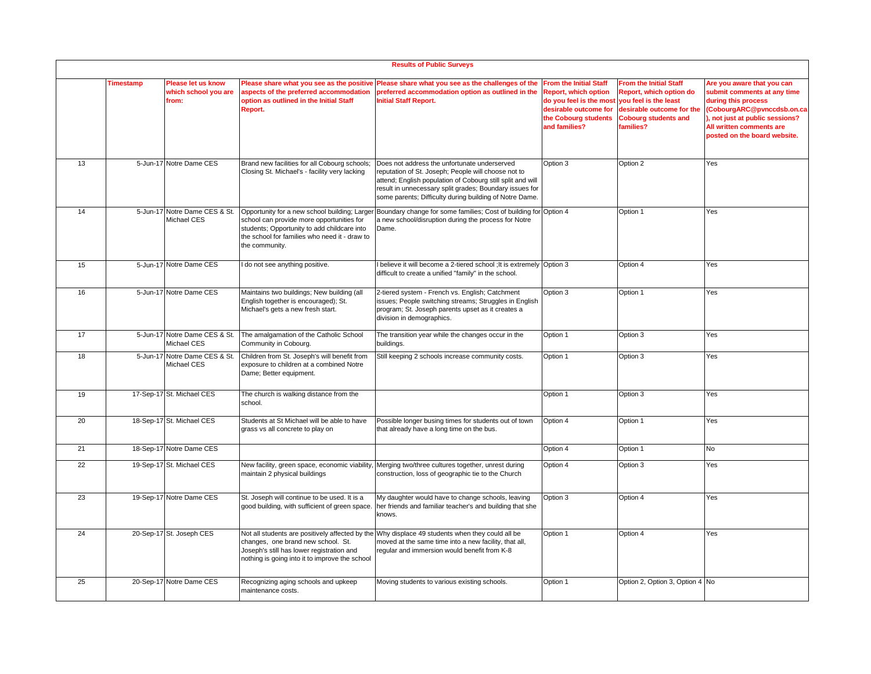|    | <b>Results of Public Surveys</b> |                                                     |                                                                                                                                                                                      |                                                                                                                                                                                                                                                                                         |                                                                                                                                                    |                                                                                                                                                            |                                                                                                                                                                                                               |  |
|----|----------------------------------|-----------------------------------------------------|--------------------------------------------------------------------------------------------------------------------------------------------------------------------------------------|-----------------------------------------------------------------------------------------------------------------------------------------------------------------------------------------------------------------------------------------------------------------------------------------|----------------------------------------------------------------------------------------------------------------------------------------------------|------------------------------------------------------------------------------------------------------------------------------------------------------------|---------------------------------------------------------------------------------------------------------------------------------------------------------------------------------------------------------------|--|
|    | <b>Timestamp</b>                 | Please let us know<br>which school you are<br>from: | Please share what you see as the positive<br>aspects of the preferred accommodation<br>option as outlined in the Initial Staff<br>Report.                                            | Please share what you see as the challenges of the<br>preferred accommodation option as outlined in the<br><b>Initial Staff Report.</b>                                                                                                                                                 | <b>From the Initial Staff</b><br>Report, which option<br>do you feel is the most<br>desirable outcome for<br>the Cobourg students<br>and families? | <b>From the Initial Staff</b><br>Report, which option do<br>vou feel is the least<br>desirable outcome for the<br><b>Cobourg students and</b><br>families? | Are you aware that you can<br>submit comments at any time<br>during this process<br>(CobourgARC@pvnccdsb.on.ca<br>), not just at public sessions?<br>All written comments are<br>posted on the board website. |  |
| 13 |                                  | 5-Jun-17 Notre Dame CES                             | Brand new facilities for all Cobourg schools;<br>Closing St. Michael's - facility very lacking                                                                                       | Does not address the unfortunate underserved<br>reputation of St. Joseph; People will choose not to<br>attend; English population of Cobourg still split and will<br>result in unnecessary split grades; Boundary issues for<br>some parents; Difficulty during building of Notre Dame. | Option 3                                                                                                                                           | Option 2                                                                                                                                                   | Yes                                                                                                                                                                                                           |  |
| 14 |                                  | 5-Jun-17 Notre Dame CES & St.<br>Michael CES        | school can provide more opportunities for<br>students; Opportunity to add childcare into<br>the school for families who need it - draw to<br>the community.                          | Opportunity for a new school building; Larger Boundary change for some families; Cost of building for Option 4<br>a new school/disruption during the process for Notre<br>Dame.                                                                                                         |                                                                                                                                                    | Option 1                                                                                                                                                   | Yes                                                                                                                                                                                                           |  |
| 15 |                                  | 5-Jun-17 Notre Dame CES                             | do not see anything positive.                                                                                                                                                        | I believe it will become a 2-tiered school ; It is extremely Option 3<br>difficult to create a unified "family" in the school.                                                                                                                                                          |                                                                                                                                                    | Option 4                                                                                                                                                   | Yes                                                                                                                                                                                                           |  |
| 16 |                                  | 5-Jun-17 Notre Dame CES                             | Maintains two buildings; New building (all<br>English together is encouraged); St.<br>Michael's gets a new fresh start.                                                              | 2-tiered system - French vs. English; Catchment<br>issues; People switching streams; Struggles in English<br>program; St. Joseph parents upset as it creates a<br>division in demographics.                                                                                             | Option 3                                                                                                                                           | Option 1                                                                                                                                                   | Yes                                                                                                                                                                                                           |  |
| 17 |                                  | 5-Jun-17 Notre Dame CES & St.<br>Michael CES        | The amalgamation of the Catholic School<br>Community in Cobourg.                                                                                                                     | The transition year while the changes occur in the<br>buildings.                                                                                                                                                                                                                        | Option 1                                                                                                                                           | Option 3                                                                                                                                                   | Yes                                                                                                                                                                                                           |  |
| 18 |                                  | 5-Jun-17 Notre Dame CES & St.<br>Michael CES        | Children from St. Joseph's will benefit from<br>exposure to children at a combined Notre<br>Dame; Better equipment.                                                                  | Still keeping 2 schools increase community costs.                                                                                                                                                                                                                                       | Option 1                                                                                                                                           | Option 3                                                                                                                                                   | Yes                                                                                                                                                                                                           |  |
| 19 |                                  | 17-Sep-17 St. Michael CES                           | The church is walking distance from the<br>school.                                                                                                                                   |                                                                                                                                                                                                                                                                                         | Option 1                                                                                                                                           | Option 3                                                                                                                                                   | Yes                                                                                                                                                                                                           |  |
| 20 |                                  | 18-Sep-17 St. Michael CES                           | Students at St Michael will be able to have<br>grass vs all concrete to play on                                                                                                      | Possible longer busing times for students out of town<br>that already have a long time on the bus.                                                                                                                                                                                      | Option 4                                                                                                                                           | Option 1                                                                                                                                                   | Yes                                                                                                                                                                                                           |  |
| 21 |                                  | 18-Sep-17 Notre Dame CES                            |                                                                                                                                                                                      |                                                                                                                                                                                                                                                                                         | Option 4                                                                                                                                           | Option 1                                                                                                                                                   | No                                                                                                                                                                                                            |  |
| 22 |                                  | 19-Sep-17 St. Michael CES                           | New facility, green space, economic viability,<br>maintain 2 physical buildings                                                                                                      | Merging two/three cultures together, unrest during<br>construction, loss of geographic tie to the Church                                                                                                                                                                                | Option 4                                                                                                                                           | Option 3                                                                                                                                                   | Yes                                                                                                                                                                                                           |  |
| 23 |                                  | 19-Sep-17 Notre Dame CES                            | St. Joseph will continue to be used. It is a<br>good building, with sufficient of green space.                                                                                       | My daughter would have to change schools, leaving<br>her friends and familiar teacher's and building that she<br>knows.                                                                                                                                                                 | Option 3                                                                                                                                           | Option 4                                                                                                                                                   | Yes                                                                                                                                                                                                           |  |
| 24 |                                  | 20-Sep-17 St. Joseph CES                            | Not all students are positively affected by the<br>changes, one brand new school. St.<br>Joseph's still has lower registration and<br>nothing is going into it to improve the school | Why displace 49 students when they could all be<br>noved at the same time into a new facility, that all,<br>regular and immersion would benefit from K-8                                                                                                                                | Option 1                                                                                                                                           | Option 4                                                                                                                                                   | Yes                                                                                                                                                                                                           |  |
| 25 |                                  | 20-Sep-17 Notre Dame CES                            | Recognizing aging schools and upkeep<br>maintenance costs.                                                                                                                           | Moving students to various existing schools.                                                                                                                                                                                                                                            | Option 1                                                                                                                                           | Option 2, Option 3, Option 4 No                                                                                                                            |                                                                                                                                                                                                               |  |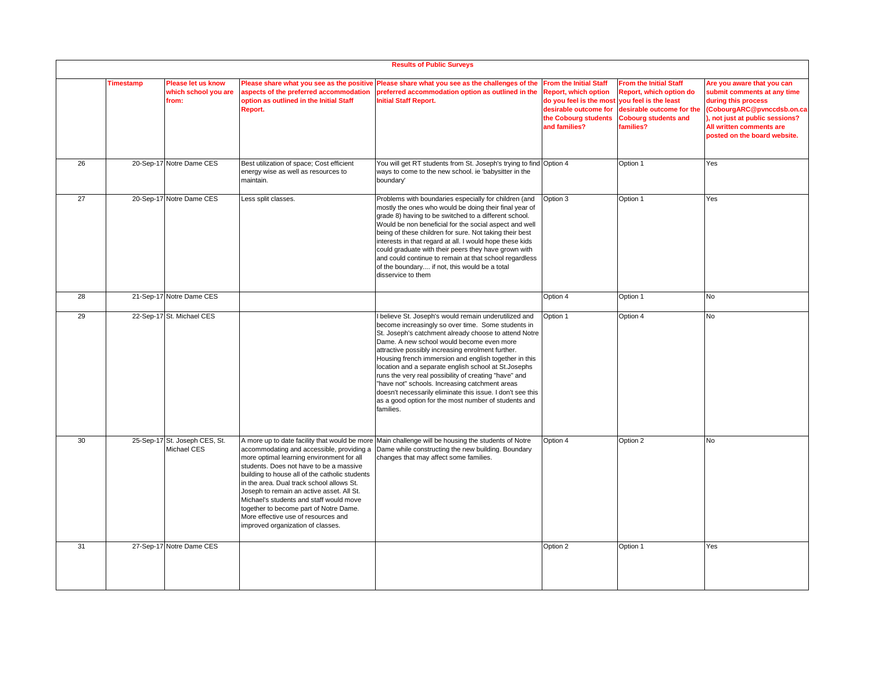|    | <b>Results of Public Surveys</b> |                                                     |                                                                                                                                                                                                                                                                                                                                                                                                                                                |                                                                                                                                                                                                                                                                                                                                                                                                                                                                                                                                                                                                                                        |                                                                                                                                                                                 |                                                                                                                                   |                                                                                                                                                                                                               |  |
|----|----------------------------------|-----------------------------------------------------|------------------------------------------------------------------------------------------------------------------------------------------------------------------------------------------------------------------------------------------------------------------------------------------------------------------------------------------------------------------------------------------------------------------------------------------------|----------------------------------------------------------------------------------------------------------------------------------------------------------------------------------------------------------------------------------------------------------------------------------------------------------------------------------------------------------------------------------------------------------------------------------------------------------------------------------------------------------------------------------------------------------------------------------------------------------------------------------------|---------------------------------------------------------------------------------------------------------------------------------------------------------------------------------|-----------------------------------------------------------------------------------------------------------------------------------|---------------------------------------------------------------------------------------------------------------------------------------------------------------------------------------------------------------|--|
|    | Timestamp                        | Please let us know<br>which school you are<br>from: | Please share what you see as the positive<br>aspects of the preferred accommodation<br>option as outlined in the Initial Staff<br>Report.                                                                                                                                                                                                                                                                                                      | Please share what you see as the challenges of the<br>preferred accommodation option as outlined in the<br><b>Initial Staff Report.</b>                                                                                                                                                                                                                                                                                                                                                                                                                                                                                                | <b>From the Initial Staff</b><br><b>Report, which option</b><br>do you feel is the most you feel is the least<br>desirable outcome for<br>the Cobourg students<br>and families? | <b>From the Initial Staff</b><br>Report, which option do<br>desirable outcome for the<br><b>Cobourg students and</b><br>families? | Are you aware that you can<br>submit comments at any time<br>during this process<br>(CobourgARC@pvnccdsb.on.ca<br>), not just at public sessions?<br>All written comments are<br>posted on the board website. |  |
| 26 |                                  | 20-Sep-17 Notre Dame CES                            | Best utilization of space; Cost efficient<br>energy wise as well as resources to<br>maintain.                                                                                                                                                                                                                                                                                                                                                  | You will get RT students from St. Joseph's trying to find Option 4<br>ways to come to the new school. ie 'babysitter in the<br>boundary'                                                                                                                                                                                                                                                                                                                                                                                                                                                                                               |                                                                                                                                                                                 | Option 1                                                                                                                          | Yes                                                                                                                                                                                                           |  |
| 27 |                                  | 20-Sep-17 Notre Dame CES                            | Less split classes.                                                                                                                                                                                                                                                                                                                                                                                                                            | Problems with boundaries especially for children (and<br>mostly the ones who would be doing their final year of<br>grade 8) having to be switched to a different school.<br>Would be non beneficial for the social aspect and well<br>being of these children for sure. Not taking their best<br>interests in that regard at all. I would hope these kids<br>could graduate with their peers they have grown with<br>and could continue to remain at that school regardless<br>of the boundary if not, this would be a total<br>disservice to them                                                                                     | Option 3                                                                                                                                                                        | Option 1                                                                                                                          | Yes                                                                                                                                                                                                           |  |
| 28 |                                  | 21-Sep-17 Notre Dame CES                            |                                                                                                                                                                                                                                                                                                                                                                                                                                                |                                                                                                                                                                                                                                                                                                                                                                                                                                                                                                                                                                                                                                        | Option 4                                                                                                                                                                        | Option 1                                                                                                                          | No                                                                                                                                                                                                            |  |
| 29 |                                  | 22-Sep-17 St. Michael CES                           |                                                                                                                                                                                                                                                                                                                                                                                                                                                | I believe St. Joseph's would remain underutilized and<br>become increasingly so over time. Some students in<br>St. Joseph's catchment already choose to attend Notre<br>Dame. A new school would become even more<br>attractive possibly increasing enrolment further.<br>Housing french immersion and english together in this<br>location and a separate english school at St. Josephs<br>runs the very real possibility of creating "have" and<br>"have not" schools. Increasing catchment areas<br>doesn't necessarily eliminate this issue. I don't see this<br>as a good option for the most number of students and<br>families. | Option 1                                                                                                                                                                        | Option 4                                                                                                                          | <b>No</b>                                                                                                                                                                                                     |  |
| 30 |                                  | 25-Sep-17 St. Joseph CES, St.<br>Michael CES        | accommodating and accessible, providing a<br>more optimal learning environment for all<br>students. Does not have to be a massive<br>building to house all of the catholic students<br>in the area. Dual track school allows St.<br>Joseph to remain an active asset. All St.<br>Michael's students and staff would move<br>together to become part of Notre Dame.<br>More effective use of resources and<br>improved organization of classes. | A more up to date facility that would be more Main challenge will be housing the students of Notre<br>Dame while constructing the new building. Boundary<br>changes that may affect some families.                                                                                                                                                                                                                                                                                                                                                                                                                                     | Option 4                                                                                                                                                                        | Option 2                                                                                                                          | No                                                                                                                                                                                                            |  |
| 31 |                                  | 27-Sep-17 Notre Dame CES                            |                                                                                                                                                                                                                                                                                                                                                                                                                                                |                                                                                                                                                                                                                                                                                                                                                                                                                                                                                                                                                                                                                                        | Option 2                                                                                                                                                                        | Option 1                                                                                                                          | Yes                                                                                                                                                                                                           |  |